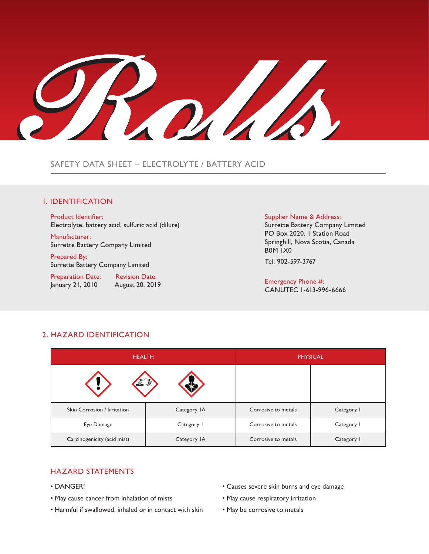ROKALS

# SAFETY DATA SHEET – ELECTROLYTE / BATTERY ACID

# 1. IDENTIFICATION

Product Identifier: Electrolyte, battery acid, sulfuric acid (dilute)

Manufacturer: Surrette Battery Company Limited

Prepared By: Surrette Battery Company Limited

Preparation Date: Revision Date: January 21, 2010 August 20, 2019

#### Supplier Name & Address:

Surrette Battery Company Limited PO Box 2020, 1 Station Road Springhill, Nova Scotia, Canada B0M 1X0 Tel: 902-597-3767

Emergency Phone #: CANUTEC 1-613-996-6666

| <b>HEALTH</b>               |             |                     | <b>PHYSICAL</b> |
|-----------------------------|-------------|---------------------|-----------------|
|                             | r           |                     |                 |
| Skin Corrosion / Irritation | Category IA | Corrosive to metals | Category I      |
| Eye Damage                  | Category I  | Corrosive to metals | Category I      |
| Carcinogenicity (acid mist) | Category IA | Corrosive to metals | Category I      |

# 2. HAZARD IDENTIFICATION

## HAZARD STATEMENTS

- DANGER!
- May cause cancer from inhalation of mists
- Harmful if swallowed, inhaled or in contact with skin
- Causes severe skin burns and eye damage
- May cause respiratory irritation
- May be corrosive to metals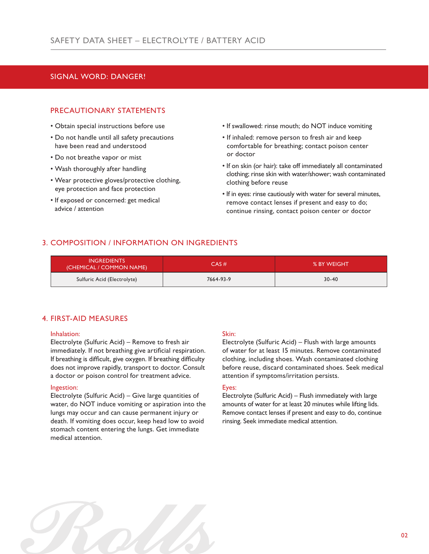# SIGNAL WORD: DANGER!

## PRECAUTIONARY STATEMENTS

- Obtain special instructions before use
- Do not handle until all safety precautions have been read and understood
- Do not breathe vapor or mist
- Wash thoroughly after handling
- Wear protective gloves/protective clothing, eye protection and face protection
- If exposed or concerned: get medical advice / attention
- If swallowed: rinse mouth; do NOT induce vomiting
- If inhaled: remove person to fresh air and keep comfortable for breathing; contact poison center or doctor
- If on skin (or hair): take off immediately all contaminated clothing; rinse skin with water/shower; wash contaminated clothing before reuse
- If in eyes: rinse cautiously with water for several minutes, remove contact lenses if present and easy to do; continue rinsing, contact poison center or doctor

# 3. COMPOSITION / INFORMATION ON INGREDIENTS

| <b>INGREDIENTS</b><br>(CHEMICAL / COMMON NAME) | CAS#      | % BY WEIGHT |
|------------------------------------------------|-----------|-------------|
| Sulfuric Acid (Electrolyte)                    | 7664-93-9 | $30 - 40$   |

## 4. FIRST-AID MEASURES

### Inhalation:

Electrolyte (Sulfuric Acid) – Remove to fresh air immediately. If not breathing give artificial respiration. If breathing is difficult, give oxygen. If breathing difficulty does not improve rapidly, transport to doctor. Consult a doctor or poison control for treatment advice.

### Ingestion:

Electrolyte (Sulfuric Acid) – Give large quantities of water, do NOT induce vomiting or aspiration into the lungs may occur and can cause permanent injury or death. If vomiting does occur, keep head low to avoid stomach content entering the lungs. Get immediate medical attention.

# Skin:

Electrolyte (Sulfuric Acid) – Flush with large amounts of water for at least 15 minutes. Remove contaminated clothing, including shoes. Wash contaminated clothing before reuse, discard contaminated shoes. Seek medical attention if symptoms/irritation persists.

# Eyes:

Electrolyte (Sulfuric Acid) – Flush immediately with large amounts of water for at least 20 minutes while lifting lids. Remove contact lenses if present and easy to do, continue rinsing. Seek immediate medical attention.

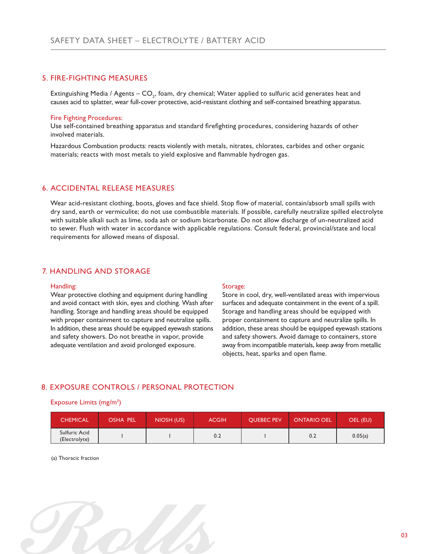# 5. FIRE-FIGHTING MEASURES

Extinguishing Media / Agents – CO<sub>2</sub>, foam, dry chemical; Water applied to sulfuric acid generates heat and causes acid to splatter, wear full-cover protective, acid-resistant clothing and self-contained breathing apparatus.

#### Fire Fighting Procedures:

Use self-contained breathing apparatus and standard firefighting procedures, considering hazards of other involved materials.

Hazardous Combustion products: reacts violently with metals, nitrates, chlorates, carbides and other organic materials; reacts with most metals to yield explosive and flammable hydrogen gas.

## 6. ACCIDENTAL RELEASE MEASURES

Wear acid-resistant clothing, boots, gloves and face shield. Stop flow of material, contain/absorb small spills with dry sand, earth or vermiculite; do not use combustible materials. If possible, carefully neutralize spilled electrolyte with suitable alkali such as lime, soda ash or sodium bicarbonate. Do not allow discharge of un-neutralized acid to sewer. Flush with water in accordance with applicable regulations. Consult federal, provincial/state and local requirements for allowed means of disposal.

# 7. HANDLING AND STORAGE

#### Handling:

Wear protective clothing and equipment during handling and avoid contact with skin, eyes and clothing. Wash after handling. Storage and handling areas should be equipped with proper containment to capture and neutralize spills. In addition, these areas should be equipped eyewash stations and safety showers. Do not breathe in vapor, provide adequate ventilation and avoid prolonged exposure.

#### Storage:

Store in cool, dry, well-ventilated areas with impervious surfaces and adequate containment in the event of a spill. Storage and handling areas should be equipped with proper containment to capture and neutralize spills. In addition, these areas should be equipped eyewash stations and safety showers. Avoid damage to containers, store away from incompatible materials, keep away from metallic objects, heat, sparks and open flame.

# 8. EXPOSURE CONTROLS / PERSONAL PROTECTION

#### Exposure Limits (mg/m<sup>3</sup>)

| <b>CHEMICAL</b>                | <b>OSHA PEL</b> | NIOSH (US) | <b>ACGIH</b> | <b>OUEBEC PEV</b> | <b>ONTARIO OEL</b> | OEL (EU) |
|--------------------------------|-----------------|------------|--------------|-------------------|--------------------|----------|
| Sulfuric Acid<br>(Electrolyte) |                 |            | 0.2          |                   | 0.2                | 0.05(a)  |

(a) Thoracic fraction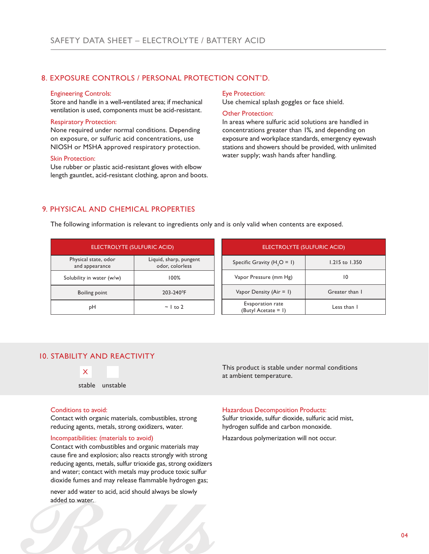# 8. EXPOSURE CONTROLS / PERSONAL PROTECTION CONT'D.

#### Engineering Controls:

Store and handle in a well-ventilated area; if mechanical ventilation is used, components must be acid-resistant.

#### Respiratory Protection:

None required under normal conditions. Depending on exposure, or sulfuric acid concentrations, use NIOSH or MSHA approved respiratory protection.

#### Skin Protection:

Use rubber or plastic acid-resistant gloves with elbow length gauntlet, acid-resistant clothing, apron and boots.

#### Eye Protection:

Use chemical splash goggles or face shield.

#### Other Protection:

In areas where sulfuric acid solutions are handled in concentrations greater than 1%, and depending on exposure and workplace standards, emergency eyewash stations and showers should be provided, with unlimited water supply; wash hands after handling.

# 9. PHYSICAL AND CHEMICAL PROPERTIES

The following information is relevant to ingredients only and is only valid when contents are exposed.

| ELECTROLYTE (SULFURIC ACID)            |                                           | ELECTROLYTE (SULFURIC ACID)                |                |
|----------------------------------------|-------------------------------------------|--------------------------------------------|----------------|
| Physical state, odor<br>and appearance | Liquid, sharp, pungent<br>odor, colorless | Specific Gravity $(H, O = I)$              | 1.215 to 1.350 |
| Solubility in water (w/w)              | 100%                                      | Vapor Pressure (mm Hg)                     | 10             |
| Boiling point                          | 203-240°F                                 | Vapor Density (Air = 1)                    | Greater than I |
| pH                                     | $\sim$ 1 to 2                             | Evaporation rate<br>(Butyl Acetate $= 1$ ) | Less than 1    |

# 10. STABILITY AND REACTIVITY



### This product is stable under normal conditions at ambient temperature.

### Conditions to avoid:

Contact with organic materials, combustibles, strong reducing agents, metals, strong oxidizers, water.

## Incompatibilities: (materials to avoid)

Contact with combustibles and organic materials may cause fire and explosion; also reacts strongly with strong reducing agents, metals, sulfur trioxide gas, strong oxidizers and water; contact with metals may produce toxic sulfur dioxide fumes and may release flammable hydrogen gas;

never add water to acid, acid should always be slowly added to water.

#### Hazardous Decomposition Products:

Sulfur trioxide, sulfur dioxide, sulfuric acid mist, hydrogen sulfide and carbon monoxide.

Hazardous polymerization will not occur.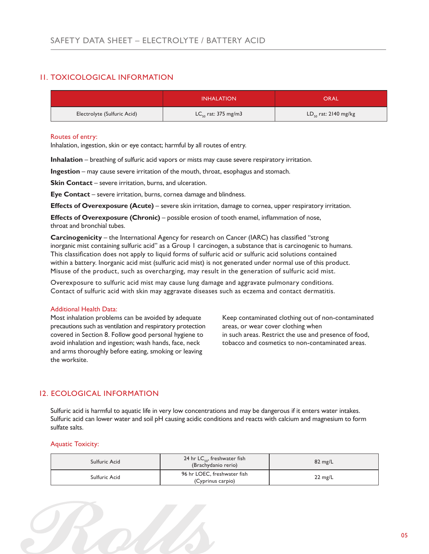# 11. TOXICOLOGICAL INFORMATION

|                             | <b>INHALATION</b>            | ORAL                      |
|-----------------------------|------------------------------|---------------------------|
| Electrolyte (Sulfuric Acid) | $LC_{\rm co}$ rat: 375 mg/m3 | $LD_{50}$ rat: 2140 mg/kg |

## Routes of entry:

Inhalation, ingestion, skin or eye contact; harmful by all routes of entry.

**Inhalation** – breathing of sulfuric acid vapors or mists may cause severe respiratory irritation.

**Ingestion** – may cause severe irritation of the mouth, throat, esophagus and stomach.

**Skin Contact** – severe irritation, burns, and ulceration.

**Eye Contact** – severe irritation, burns, cornea damage and blindness.

**Effects of Overexposure (Acute)** – severe skin irritation, damage to cornea, upper respiratory irritation.

**Effects of Overexposure (Chronic)** – possible erosion of tooth enamel, inflammation of nose, throat and bronchial tubes.

**Carcinogenicity** – the International Agency for research on Cancer (IARC) has classified "strong inorganic mist containing sulfuric acid" as a Group 1 carcinogen, a substance that is carcinogenic to humans. This classification does not apply to liquid forms of sulfuric acid or sulfuric acid solutions contained within a battery. Inorganic acid mist (sulfuric acid mist) is not generated under normal use of this product. Misuse of the product, such as overcharging, may result in the generation of sulfuric acid mist.

Overexposure to sulfuric acid mist may cause lung damage and aggravate pulmonary conditions. Contact of sulfuric acid with skin may aggravate diseases such as eczema and contact dermatitis.

### Additional Health Data:

Most inhalation problems can be avoided by adequate precautions such as ventilation and respiratory protection covered in Section 8. Follow good personal hygiene to avoid inhalation and ingestion; wash hands, face, neck and arms thoroughly before eating, smoking or leaving the worksite.

Keep contaminated clothing out of non-contaminated areas, or wear cover clothing when in such areas. Restrict the use and presence of food, tobacco and cosmetics to non-contaminated areas.

# 12. ECOLOGICAL INFORMATION

Sulfuric acid is harmful to aquatic life in very low concentrations and may be dangerous if it enters water intakes. Sulfuric acid can lower water and soil pH causing acidic conditions and reacts with calcium and magnesium to form sulfate salts.

### Aquatic Toxicity:

| Sulfuric Acid | 24 hr LC <sub>co</sub> , freshwater fish<br>(Brachydanio rerio) | $82 \text{ mg/L}$ |
|---------------|-----------------------------------------------------------------|-------------------|
| Sulfuric Acid | 96 hr LOEC, freshwater fish<br>(Cyprinus carpio)                | $22 \text{ mg/L}$ |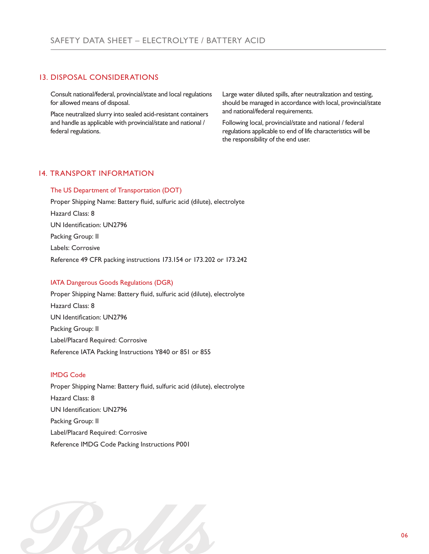# 13. DISPOSAL CONSIDERATIONS

Consult national/federal, provincial/state and local regulations for allowed means of disposal.

Place neutralized slurry into sealed acid-resistant containers and handle as applicable with provincial/state and national / federal regulations.

Large water diluted spills, after neutralization and testing, should be managed in accordance with local, provincial/state and national/federal requirements.

Following local, provincial/state and national / federal regulations applicable to end of life characteristics will be the responsibility of the end user.

# 14. TRANSPORT INFORMATION

### The US Department of Transportation (DOT)

Proper Shipping Name: Battery fluid, sulfuric acid (dilute), electrolyte Hazard Class: 8 UN Identification: UN2796 Packing Group: II Labels: Corrosive Reference 49 CFR packing instructions 173.154 or 173.202 or 173.242

## IATA Dangerous Goods Regulations (DGR)

Proper Shipping Name: Battery fluid, sulfuric acid (dilute), electrolyte Hazard Class: 8 UN Identification: UN2796 Packing Group: II Label/Placard Required: Corrosive Reference IATA Packing Instructions Y840 or 851 or 855

## IMDG Code

Proper Shipping Name: Battery fluid, sulfuric acid (dilute), electrolyte Hazard Class: 8 UN Identification: UN2796 Packing Group: II Label/Placard Required: Corrosive Reference IMDG Code Packing Instructions P001